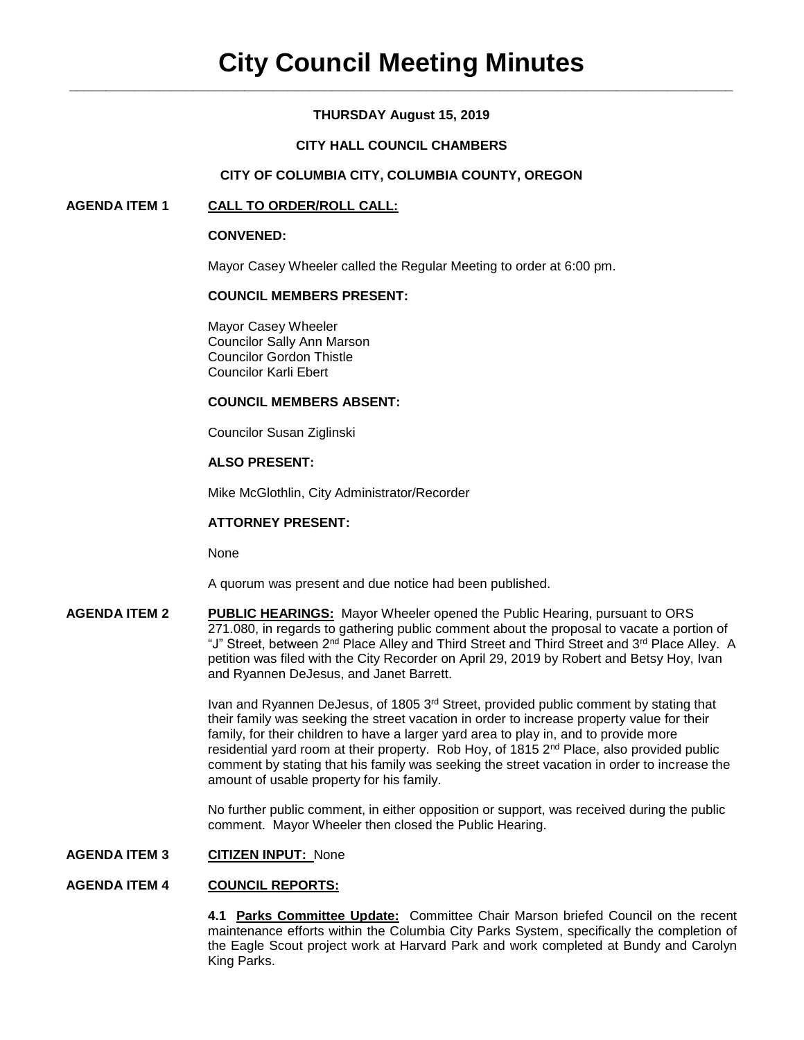# **THURSDAY August 15, 2019**

# **CITY HALL COUNCIL CHAMBERS**

## **CITY OF COLUMBIA CITY, COLUMBIA COUNTY, OREGON**

## **AGENDA ITEM 1 CALL TO ORDER/ROLL CALL:**

### **CONVENED:**

Mayor Casey Wheeler called the Regular Meeting to order at 6:00 pm.

## **COUNCIL MEMBERS PRESENT:**

Mayor Casey Wheeler Councilor Sally Ann Marson Councilor Gordon Thistle Councilor Karli Ebert

#### **COUNCIL MEMBERS ABSENT:**

Councilor Susan Ziglinski

# **ALSO PRESENT:**

Mike McGlothlin, City Administrator/Recorder

### **ATTORNEY PRESENT:**

None

A quorum was present and due notice had been published.

**AGENDA ITEM 2 PUBLIC HEARINGS:** Mayor Wheeler opened the Public Hearing, pursuant to ORS 271.080, in regards to gathering public comment about the proposal to vacate a portion of "J" Street, between 2<sup>nd</sup> Place Alley and Third Street and Third Street and 3<sup>rd</sup> Place Alley. A petition was filed with the City Recorder on April 29, 2019 by Robert and Betsy Hoy, Ivan and Ryannen DeJesus, and Janet Barrett.

> Ivan and Ryannen DeJesus, of 1805 3rd Street, provided public comment by stating that their family was seeking the street vacation in order to increase property value for their family, for their children to have a larger yard area to play in, and to provide more residential yard room at their property. Rob Hoy, of 1815 2<sup>nd</sup> Place, also provided public comment by stating that his family was seeking the street vacation in order to increase the amount of usable property for his family.

> No further public comment, in either opposition or support, was received during the public comment. Mayor Wheeler then closed the Public Hearing.

# **AGENDA ITEM 3 CITIZEN INPUT:** None

### **AGENDA ITEM 4 COUNCIL REPORTS:**

**4.1 Parks Committee Update:** Committee Chair Marson briefed Council on the recent maintenance efforts within the Columbia City Parks System, specifically the completion of the Eagle Scout project work at Harvard Park and work completed at Bundy and Carolyn King Parks.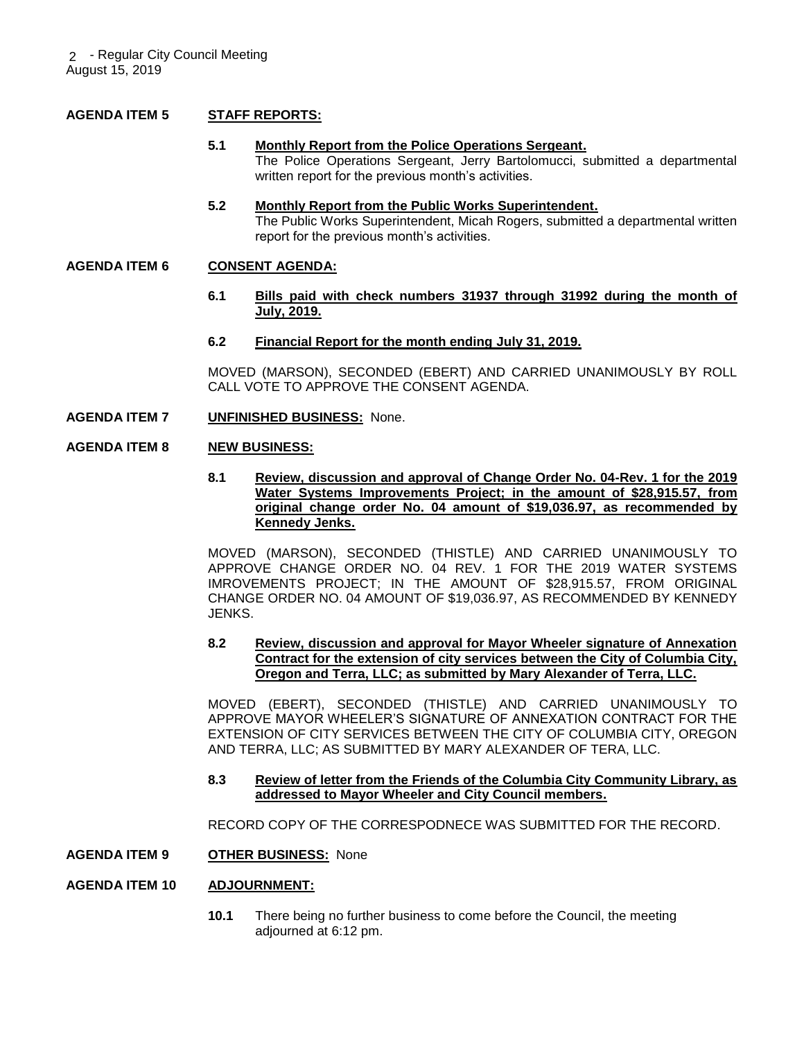# **AGENDA ITEM 5 STAFF REPORTS:**

- **5.1 Monthly Report from the Police Operations Sergeant.** The Police Operations Sergeant, Jerry Bartolomucci, submitted a departmental written report for the previous month's activities.
- **5.2 Monthly Report from the Public Works Superintendent.** The Public Works Superintendent, Micah Rogers, submitted a departmental written report for the previous month's activities.

### **AGENDA ITEM 6 CONSENT AGENDA:**

- **6.1 Bills paid with check numbers 31937 through 31992 during the month of July, 2019.**
- **6.2 Financial Report for the month ending July 31, 2019.**

MOVED (MARSON), SECONDED (EBERT) AND CARRIED UNANIMOUSLY BY ROLL CALL VOTE TO APPROVE THE CONSENT AGENDA.

**AGENDA ITEM 7 UNFINISHED BUSINESS:** None.

#### **AGENDA ITEM 8 NEW BUSINESS:**

**8.1 Review, discussion and approval of Change Order No. 04-Rev. 1 for the 2019 Water Systems Improvements Project; in the amount of \$28,915.57, from original change order No. 04 amount of \$19,036.97, as recommended by Kennedy Jenks.**

MOVED (MARSON), SECONDED (THISTLE) AND CARRIED UNANIMOUSLY TO APPROVE CHANGE ORDER NO. 04 REV. 1 FOR THE 2019 WATER SYSTEMS IMROVEMENTS PROJECT; IN THE AMOUNT OF \$28,915.57, FROM ORIGINAL CHANGE ORDER NO. 04 AMOUNT OF \$19,036.97, AS RECOMMENDED BY KENNEDY JENKS.

### **8.2 Review, discussion and approval for Mayor Wheeler signature of Annexation Contract for the extension of city services between the City of Columbia City, Oregon and Terra, LLC; as submitted by Mary Alexander of Terra, LLC.**

MOVED (EBERT), SECONDED (THISTLE) AND CARRIED UNANIMOUSLY TO APPROVE MAYOR WHEELER'S SIGNATURE OF ANNEXATION CONTRACT FOR THE EXTENSION OF CITY SERVICES BETWEEN THE CITY OF COLUMBIA CITY, OREGON AND TERRA, LLC; AS SUBMITTED BY MARY ALEXANDER OF TERA, LLC.

#### **8.3 Review of letter from the Friends of the Columbia City Community Library, as addressed to Mayor Wheeler and City Council members.**

RECORD COPY OF THE CORRESPODNECE WAS SUBMITTED FOR THE RECORD.

**AGENDA ITEM 9 OTHER BUSINESS:** None

### **AGENDA ITEM 10 ADJOURNMENT:**

**10.1** There being no further business to come before the Council, the meeting adjourned at 6:12 pm.